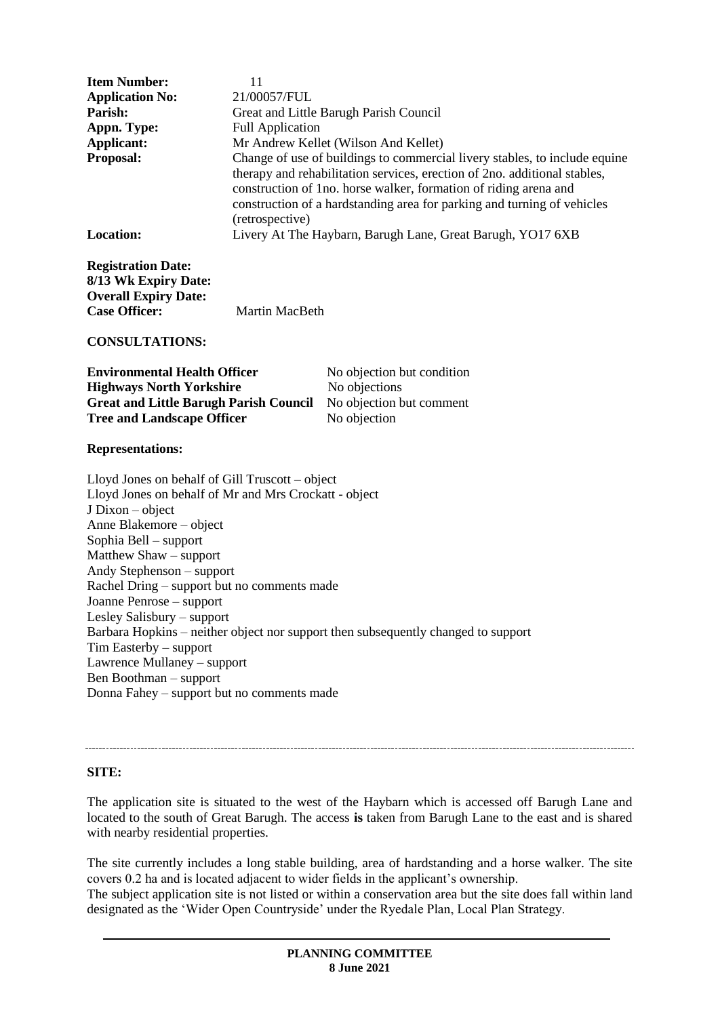| <b>Item Number:</b>    | 11                                                                                                                                                                                                                                                                                                                        |
|------------------------|---------------------------------------------------------------------------------------------------------------------------------------------------------------------------------------------------------------------------------------------------------------------------------------------------------------------------|
| <b>Application No:</b> | 21/00057/FUL                                                                                                                                                                                                                                                                                                              |
| Parish:                | Great and Little Barugh Parish Council                                                                                                                                                                                                                                                                                    |
| Appn. Type:            | <b>Full Application</b>                                                                                                                                                                                                                                                                                                   |
| Applicant:             | Mr Andrew Kellet (Wilson And Kellet)                                                                                                                                                                                                                                                                                      |
| <b>Proposal:</b>       | Change of use of buildings to commercial livery stables, to include equine<br>therapy and rehabilitation services, erection of 2no. additional stables,<br>construction of 1no. horse walker, formation of riding arena and<br>construction of a hardstanding area for parking and turning of vehicles<br>(retrospective) |
| Location:              | Livery At The Haybarn, Barugh Lane, Great Barugh, YO17 6XB                                                                                                                                                                                                                                                                |

**Registration Date: 8/13 Wk Expiry Date: Overall Expiry Date: Martin MacBeth** 

**CONSULTATIONS:**

| <b>Environmental Health Officer</b>           | No objection but condition |
|-----------------------------------------------|----------------------------|
| <b>Highways North Yorkshire</b>               | No objections              |
| <b>Great and Little Barugh Parish Council</b> | No objection but comment   |
| <b>Tree and Landscape Officer</b>             | No objection               |

#### **Representations:**

Lloyd Jones on behalf of Gill Truscott – object Lloyd Jones on behalf of Mr and Mrs Crockatt - object J Dixon – object Anne Blakemore – object Sophia Bell – support Matthew Shaw – support Andy Stephenson – support Rachel Dring – support but no comments made Joanne Penrose – support Lesley Salisbury – support Barbara Hopkins – neither object nor support then subsequently changed to support Tim Easterby – support Lawrence Mullaney – support Ben Boothman – support Donna Fahey – support but no comments made

#### **SITE:**

The application site is situated to the west of the Haybarn which is accessed off Barugh Lane and located to the south of Great Barugh. The access **is** taken from Barugh Lane to the east and is shared with nearby residential properties.

The site currently includes a long stable building, area of hardstanding and a horse walker. The site covers 0.2 ha and is located adjacent to wider fields in the applicant's ownership.

The subject application site is not listed or within a conservation area but the site does fall within land designated as the 'Wider Open Countryside' under the Ryedale Plan, Local Plan Strategy.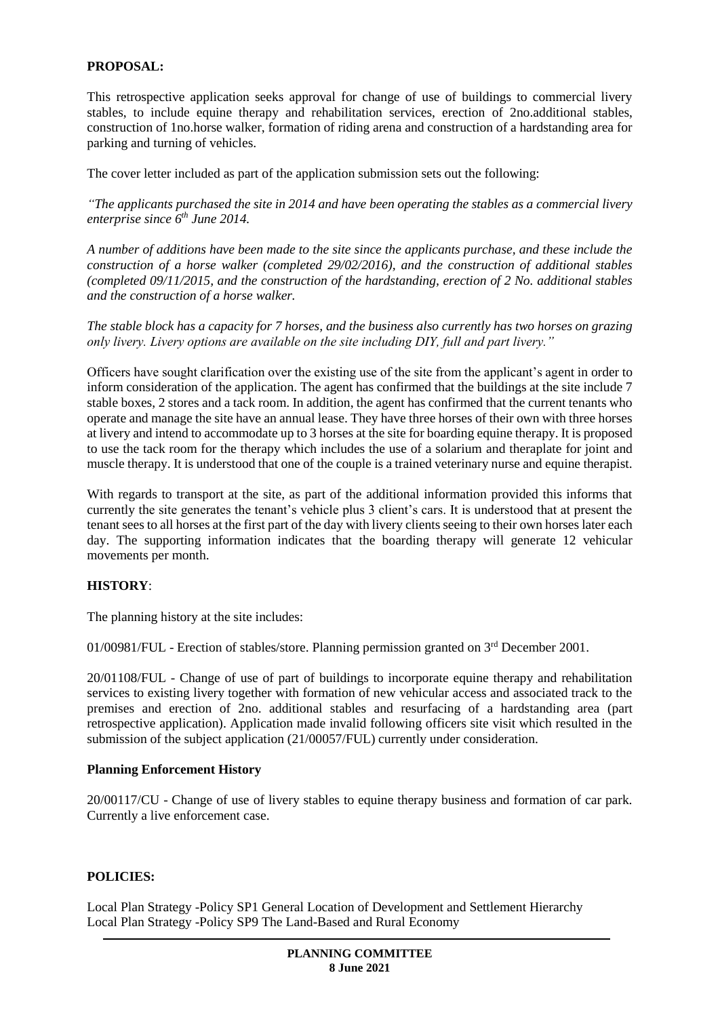## **PROPOSAL:**

This retrospective application seeks approval for change of use of buildings to commercial livery stables, to include equine therapy and rehabilitation services, erection of 2no.additional stables, construction of 1no.horse walker, formation of riding arena and construction of a hardstanding area for parking and turning of vehicles.

The cover letter included as part of the application submission sets out the following:

*"The applicants purchased the site in 2014 and have been operating the stables as a commercial livery enterprise since 6th June 2014.* 

*A number of additions have been made to the site since the applicants purchase, and these include the construction of a horse walker (completed 29/02/2016), and the construction of additional stables (completed 09/11/2015, and the construction of the hardstanding, erection of 2 No. additional stables and the construction of a horse walker.*

*The stable block has a capacity for 7 horses, and the business also currently has two horses on grazing only livery. Livery options are available on the site including DIY, full and part livery."* 

Officers have sought clarification over the existing use of the site from the applicant's agent in order to inform consideration of the application. The agent has confirmed that the buildings at the site include 7 stable boxes, 2 stores and a tack room. In addition, the agent has confirmed that the current tenants who operate and manage the site have an annual lease. They have three horses of their own with three horses at livery and intend to accommodate up to 3 horses at the site for boarding equine therapy. It is proposed to use the tack room for the therapy which includes the use of a solarium and theraplate for joint and muscle therapy. It is understood that one of the couple is a trained veterinary nurse and equine therapist.

With regards to transport at the site, as part of the additional information provided this informs that currently the site generates the tenant's vehicle plus 3 client's cars. It is understood that at present the tenant sees to all horses at the first part of the day with livery clients seeing to their own horses later each day. The supporting information indicates that the boarding therapy will generate 12 vehicular movements per month.

## **HISTORY**:

The planning history at the site includes:

01/00981/FUL - Erection of stables/store. Planning permission granted on 3rd December 2001.

20/01108/FUL - Change of use of part of buildings to incorporate equine therapy and rehabilitation services to existing livery together with formation of new vehicular access and associated track to the premises and erection of 2no. additional stables and resurfacing of a hardstanding area (part retrospective application). Application made invalid following officers site visit which resulted in the submission of the subject application (21/00057/FUL) currently under consideration.

#### **Planning Enforcement History**

20/00117/CU - Change of use of livery stables to equine therapy business and formation of car park. Currently a live enforcement case.

#### **POLICIES:**

Local Plan Strategy -Policy SP1 General Location of Development and Settlement Hierarchy Local Plan Strategy -Policy SP9 The Land-Based and Rural Economy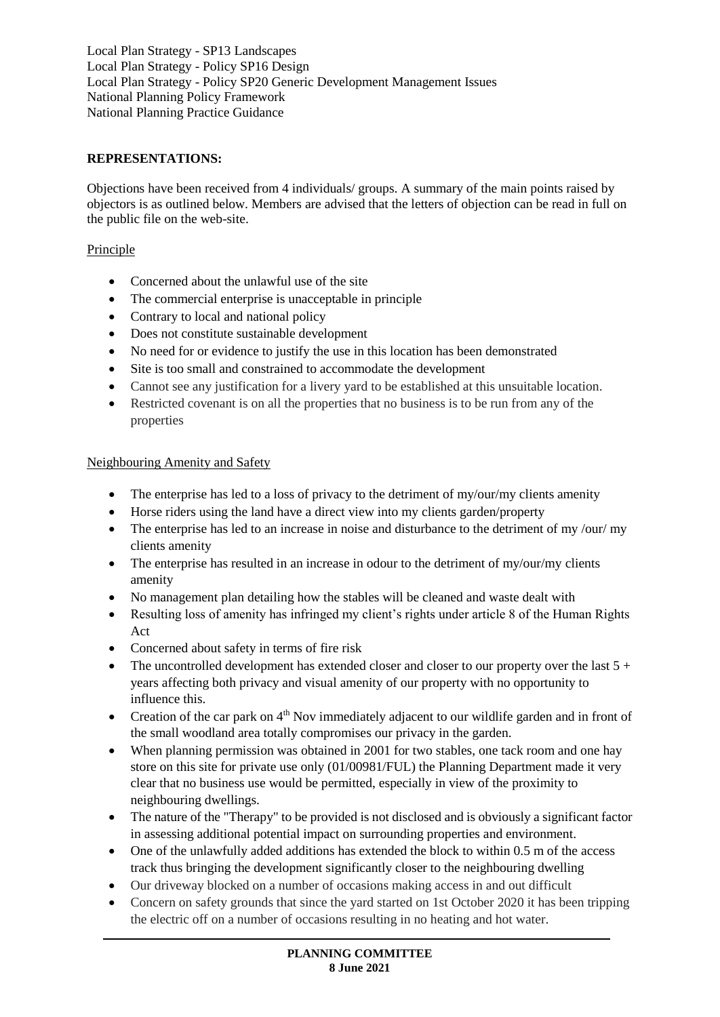Local Plan Strategy - SP13 Landscapes Local Plan Strategy - Policy SP16 Design Local Plan Strategy - Policy SP20 Generic Development Management Issues National Planning Policy Framework National Planning Practice Guidance

## **REPRESENTATIONS:**

Objections have been received from 4 individuals/ groups. A summary of the main points raised by objectors is as outlined below. Members are advised that the letters of objection can be read in full on the public file on the web-site.

## Principle

- Concerned about the unlawful use of the site
- The commercial enterprise is unacceptable in principle
- Contrary to local and national policy
- Does not constitute sustainable development
- No need for or evidence to justify the use in this location has been demonstrated
- Site is too small and constrained to accommodate the development
- Cannot see any justification for a livery yard to be established at this unsuitable location.
- Restricted covenant is on all the properties that no business is to be run from any of the properties

## Neighbouring Amenity and Safety

- The enterprise has led to a loss of privacy to the detriment of my/our/my clients amenity
- Horse riders using the land have a direct view into my clients garden/property
- The enterprise has led to an increase in noise and disturbance to the detriment of my/our/ my clients amenity
- The enterprise has resulted in an increase in odour to the detriment of my/our/my clients amenity
- No management plan detailing how the stables will be cleaned and waste dealt with
- Resulting loss of amenity has infringed my client's rights under article 8 of the Human Rights Act
- Concerned about safety in terms of fire risk
- The uncontrolled development has extended closer and closer to our property over the last  $5 +$ years affecting both privacy and visual amenity of our property with no opportunity to influence this.
- Creation of the car park on  $4<sup>th</sup>$  Nov immediately adjacent to our wildlife garden and in front of the small woodland area totally compromises our privacy in the garden.
- When planning permission was obtained in 2001 for two stables, one tack room and one hay store on this site for private use only (01/00981/FUL) the Planning Department made it very clear that no business use would be permitted, especially in view of the proximity to neighbouring dwellings.
- The nature of the "Therapy" to be provided is not disclosed and is obviously a significant factor in assessing additional potential impact on surrounding properties and environment.
- One of the unlawfully added additions has extended the block to within 0.5 m of the access track thus bringing the development significantly closer to the neighbouring dwelling
- Our driveway blocked on a number of occasions making access in and out difficult
- Concern on safety grounds that since the yard started on 1st October 2020 it has been tripping the electric off on a number of occasions resulting in no heating and hot water.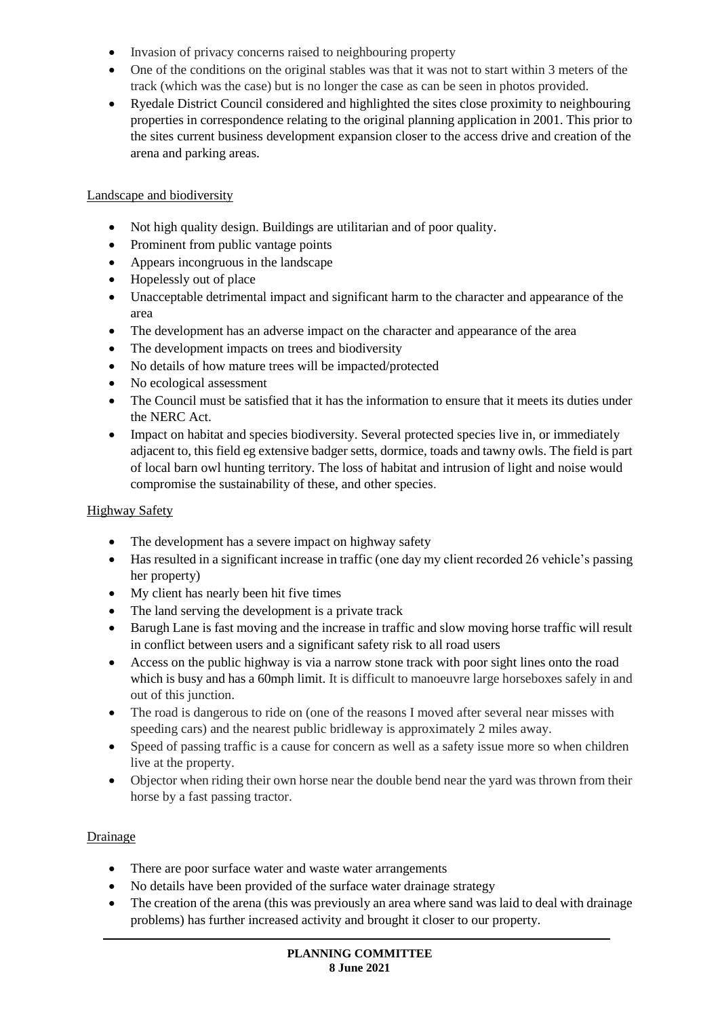- Invasion of privacy concerns raised to neighbouring property
- One of the conditions on the original stables was that it was not to start within 3 meters of the track (which was the case) but is no longer the case as can be seen in photos provided.
- Ryedale District Council considered and highlighted the sites close proximity to neighbouring properties in correspondence relating to the original planning application in 2001. This prior to the sites current business development expansion closer to the access drive and creation of the arena and parking areas.

## Landscape and biodiversity

- Not high quality design. Buildings are utilitarian and of poor quality.
- Prominent from public vantage points
- Appears incongruous in the landscape
- Hopelessly out of place
- Unacceptable detrimental impact and significant harm to the character and appearance of the area
- The development has an adverse impact on the character and appearance of the area
- The development impacts on trees and biodiversity
- No details of how mature trees will be impacted/protected
- No ecological assessment
- The Council must be satisfied that it has the information to ensure that it meets its duties under the NERC Act.
- Impact on habitat and species biodiversity. Several protected species live in, or immediately adjacent to, this field eg extensive badger setts, dormice, toads and tawny owls. The field is part of local barn owl hunting territory. The loss of habitat and intrusion of light and noise would compromise the sustainability of these, and other species.

## Highway Safety

- The development has a severe impact on highway safety
- Has resulted in a significant increase in traffic (one day my client recorded 26 vehicle's passing her property)
- My client has nearly been hit five times
- The land serving the development is a private track
- Barugh Lane is fast moving and the increase in traffic and slow moving horse traffic will result in conflict between users and a significant safety risk to all road users
- Access on the public highway is via a narrow stone track with poor sight lines onto the road which is busy and has a 60mph limit. It is difficult to manoeuvre large horseboxes safely in and out of this junction.
- The road is dangerous to ride on (one of the reasons I moved after several near misses with speeding cars) and the nearest public bridleway is approximately 2 miles away.
- Speed of passing traffic is a cause for concern as well as a safety issue more so when children live at the property.
- Objector when riding their own horse near the double bend near the yard was thrown from their horse by a fast passing tractor.

## Drainage

- There are poor surface water and waste water arrangements
- No details have been provided of the surface water drainage strategy
- The creation of the arena (this was previously an area where sand was laid to deal with drainage problems) has further increased activity and brought it closer to our property.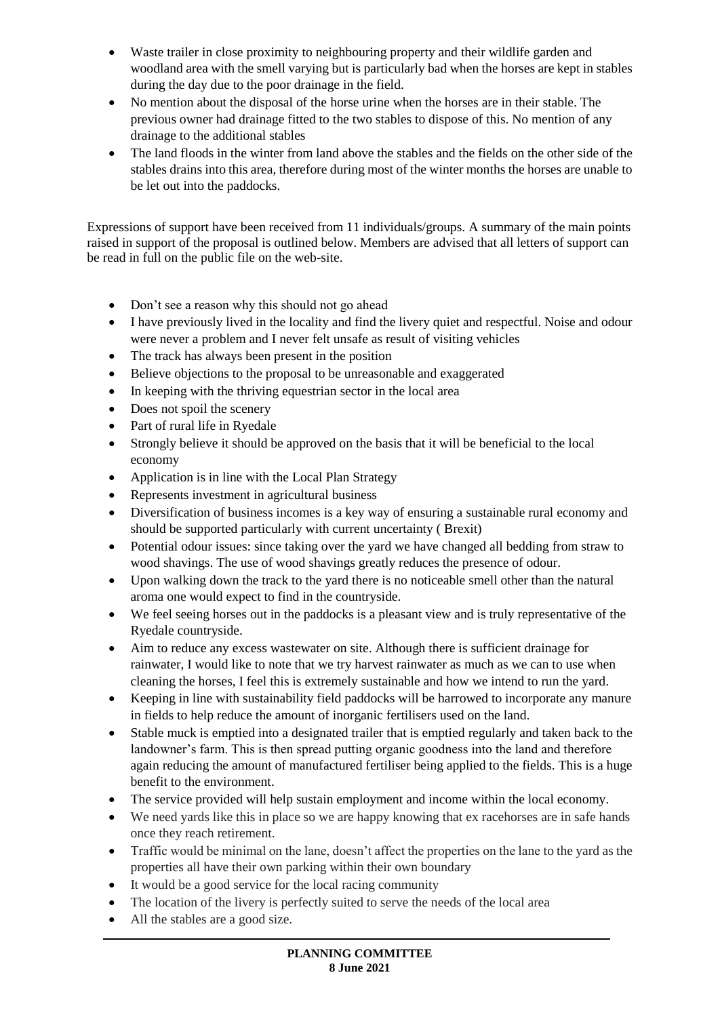- Waste trailer in close proximity to neighbouring property and their wildlife garden and woodland area with the smell varying but is particularly bad when the horses are kept in stables during the day due to the poor drainage in the field.
- No mention about the disposal of the horse urine when the horses are in their stable. The previous owner had drainage fitted to the two stables to dispose of this. No mention of any drainage to the additional stables
- The land floods in the winter from land above the stables and the fields on the other side of the stables drains into this area, therefore during most of the winter months the horses are unable to be let out into the paddocks.

Expressions of support have been received from 11 individuals/groups. A summary of the main points raised in support of the proposal is outlined below. Members are advised that all letters of support can be read in full on the public file on the web-site.

- Don't see a reason why this should not go ahead
- I have previously lived in the locality and find the livery quiet and respectful. Noise and odour were never a problem and I never felt unsafe as result of visiting vehicles
- The track has always been present in the position
- Believe objections to the proposal to be unreasonable and exaggerated
- In keeping with the thriving equestrian sector in the local area
- Does not spoil the scenery
- Part of rural life in Ryedale
- Strongly believe it should be approved on the basis that it will be beneficial to the local economy
- Application is in line with the Local Plan Strategy
- Represents investment in agricultural business
- Diversification of business incomes is a key way of ensuring a sustainable rural economy and should be supported particularly with current uncertainty ( Brexit)
- Potential odour issues: since taking over the yard we have changed all bedding from straw to wood shavings. The use of wood shavings greatly reduces the presence of odour.
- Upon walking down the track to the yard there is no noticeable smell other than the natural aroma one would expect to find in the countryside.
- We feel seeing horses out in the paddocks is a pleasant view and is truly representative of the Ryedale countryside.
- Aim to reduce any excess wastewater on site. Although there is sufficient drainage for rainwater, I would like to note that we try harvest rainwater as much as we can to use when cleaning the horses, I feel this is extremely sustainable and how we intend to run the yard.
- Keeping in line with sustainability field paddocks will be harrowed to incorporate any manure in fields to help reduce the amount of inorganic fertilisers used on the land.
- Stable muck is emptied into a designated trailer that is emptied regularly and taken back to the landowner's farm. This is then spread putting organic goodness into the land and therefore again reducing the amount of manufactured fertiliser being applied to the fields. This is a huge benefit to the environment.
- The service provided will help sustain employment and income within the local economy.
- We need yards like this in place so we are happy knowing that ex racehorses are in safe hands once they reach retirement.
- Traffic would be minimal on the lane, doesn't affect the properties on the lane to the yard as the properties all have their own parking within their own boundary
- It would be a good service for the local racing community
- The location of the livery is perfectly suited to serve the needs of the local area
- All the stables are a good size.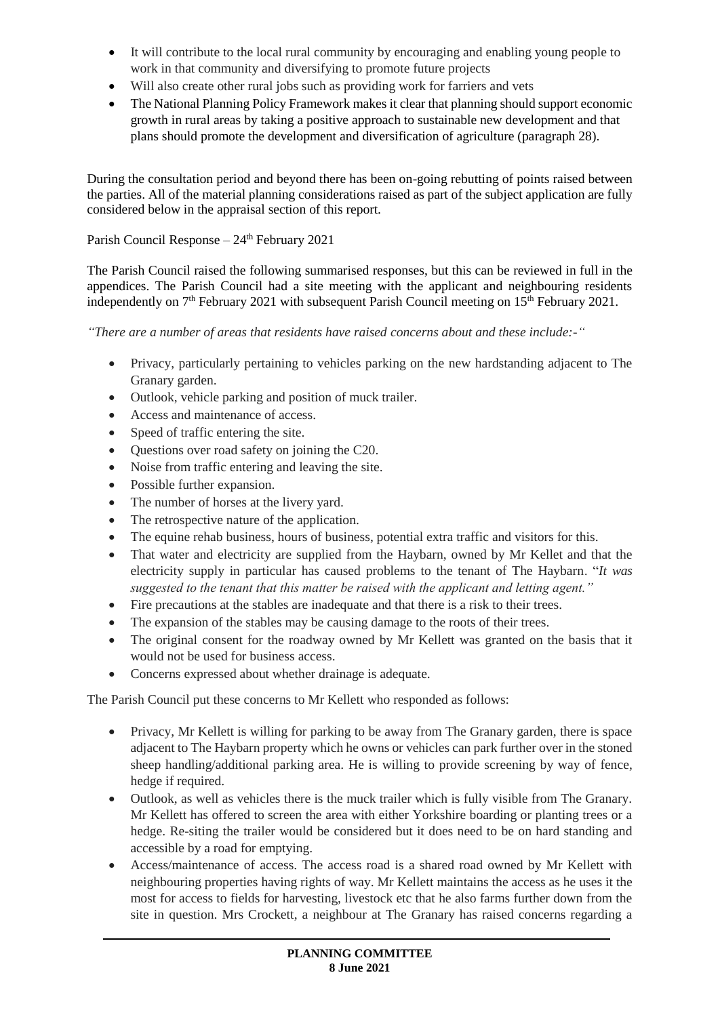- It will contribute to the local rural community by encouraging and enabling young people to work in that community and diversifying to promote future projects
- Will also create other rural jobs such as providing work for farriers and vets
- The National Planning Policy Framework makes it clear that planning should support economic growth in rural areas by taking a positive approach to sustainable new development and that plans should promote the development and diversification of agriculture (paragraph 28).

During the consultation period and beyond there has been on-going rebutting of points raised between the parties. All of the material planning considerations raised as part of the subject application are fully considered below in the appraisal section of this report.

# Parish Council Response –  $24<sup>th</sup>$  February 2021

The Parish Council raised the following summarised responses, but this can be reviewed in full in the appendices. The Parish Council had a site meeting with the applicant and neighbouring residents independently on  $7<sup>th</sup>$  February 2021 with subsequent Parish Council meeting on  $15<sup>th</sup>$  February 2021.

*"There are a number of areas that residents have raised concerns about and these include:-"*

- Privacy, particularly pertaining to vehicles parking on the new hardstanding adjacent to The Granary garden.
- Outlook, vehicle parking and position of muck trailer.
- Access and maintenance of access.
- Speed of traffic entering the site.
- Questions over road safety on joining the C20.
- Noise from traffic entering and leaving the site.
- Possible further expansion.
- The number of horses at the livery yard.
- The retrospective nature of the application.
- The equine rehab business, hours of business, potential extra traffic and visitors for this.
- That water and electricity are supplied from the Haybarn, owned by Mr Kellet and that the electricity supply in particular has caused problems to the tenant of The Haybarn. "*It was suggested to the tenant that this matter be raised with the applicant and letting agent."*
- Fire precautions at the stables are inadequate and that there is a risk to their trees.
- The expansion of the stables may be causing damage to the roots of their trees.
- The original consent for the roadway owned by Mr Kellett was granted on the basis that it would not be used for business access.
- Concerns expressed about whether drainage is adequate.

The Parish Council put these concerns to Mr Kellett who responded as follows:

- Privacy, Mr Kellett is willing for parking to be away from The Granary garden, there is space adjacent to The Haybarn property which he owns or vehicles can park further over in the stoned sheep handling/additional parking area. He is willing to provide screening by way of fence, hedge if required.
- Outlook, as well as vehicles there is the muck trailer which is fully visible from The Granary. Mr Kellett has offered to screen the area with either Yorkshire boarding or planting trees or a hedge. Re-siting the trailer would be considered but it does need to be on hard standing and accessible by a road for emptying.
- Access/maintenance of access. The access road is a shared road owned by Mr Kellett with neighbouring properties having rights of way. Mr Kellett maintains the access as he uses it the most for access to fields for harvesting, livestock etc that he also farms further down from the site in question. Mrs Crockett, a neighbour at The Granary has raised concerns regarding a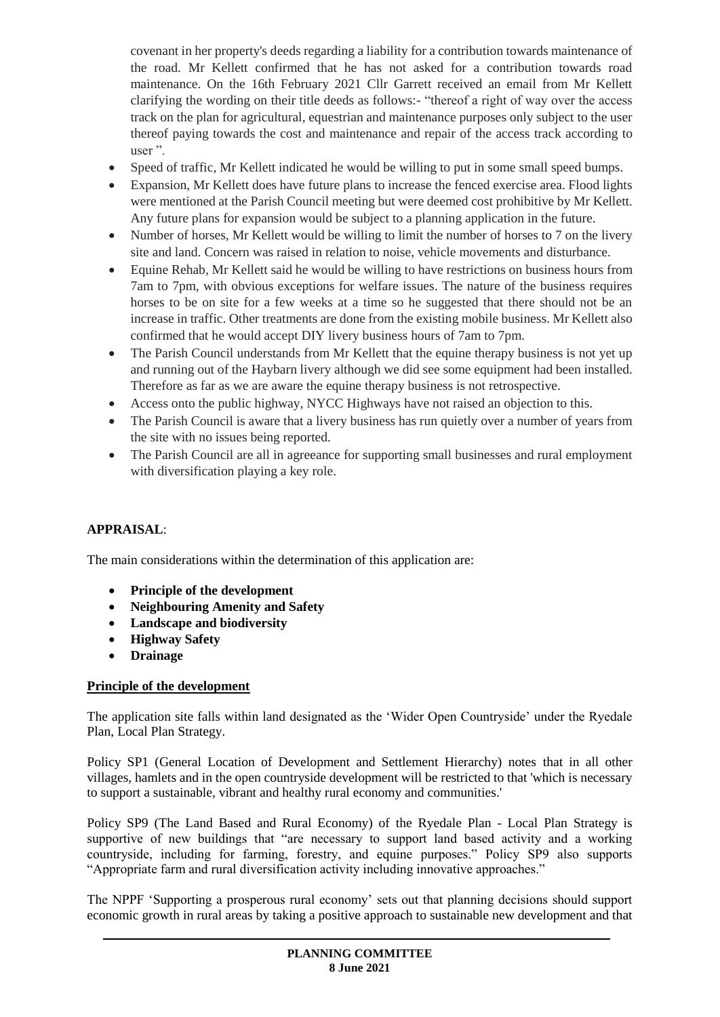covenant in her property's deeds regarding a liability for a contribution towards maintenance of the road. Mr Kellett confirmed that he has not asked for a contribution towards road maintenance. On the 16th February 2021 Cllr Garrett received an email from Mr Kellett clarifying the wording on their title deeds as follows:- "thereof a right of way over the access track on the plan for agricultural, equestrian and maintenance purposes only subject to the user thereof paying towards the cost and maintenance and repair of the access track according to user ".

- Speed of traffic, Mr Kellett indicated he would be willing to put in some small speed bumps.
- Expansion, Mr Kellett does have future plans to increase the fenced exercise area. Flood lights were mentioned at the Parish Council meeting but were deemed cost prohibitive by Mr Kellett. Any future plans for expansion would be subject to a planning application in the future.
- Number of horses, Mr Kellett would be willing to limit the number of horses to 7 on the livery site and land. Concern was raised in relation to noise, vehicle movements and disturbance.
- Equine Rehab, Mr Kellett said he would be willing to have restrictions on business hours from 7am to 7pm, with obvious exceptions for welfare issues. The nature of the business requires horses to be on site for a few weeks at a time so he suggested that there should not be an increase in traffic. Other treatments are done from the existing mobile business. Mr Kellett also confirmed that he would accept DIY livery business hours of 7am to 7pm.
- The Parish Council understands from Mr Kellett that the equine therapy business is not yet up and running out of the Haybarn livery although we did see some equipment had been installed. Therefore as far as we are aware the equine therapy business is not retrospective.
- Access onto the public highway, NYCC Highways have not raised an objection to this.
- The Parish Council is aware that a livery business has run quietly over a number of years from the site with no issues being reported.
- The Parish Council are all in agreeance for supporting small businesses and rural employment with diversification playing a key role.

# **APPRAISAL**:

The main considerations within the determination of this application are:

- **Principle of the development**
- **Neighbouring Amenity and Safety**
- **Landscape and biodiversity**
- **Highway Safety**
- **Drainage**

## **Principle of the development**

The application site falls within land designated as the 'Wider Open Countryside' under the Ryedale Plan, Local Plan Strategy.

Policy SP1 (General Location of Development and Settlement Hierarchy) notes that in all other villages, hamlets and in the open countryside development will be restricted to that 'which is necessary to support a sustainable, vibrant and healthy rural economy and communities.'

Policy SP9 (The Land Based and Rural Economy) of the Ryedale Plan - Local Plan Strategy is supportive of new buildings that "are necessary to support land based activity and a working countryside, including for farming, forestry, and equine purposes." Policy SP9 also supports "Appropriate farm and rural diversification activity including innovative approaches."

The NPPF 'Supporting a prosperous rural economy' sets out that planning decisions should support economic growth in rural areas by taking a positive approach to sustainable new development and that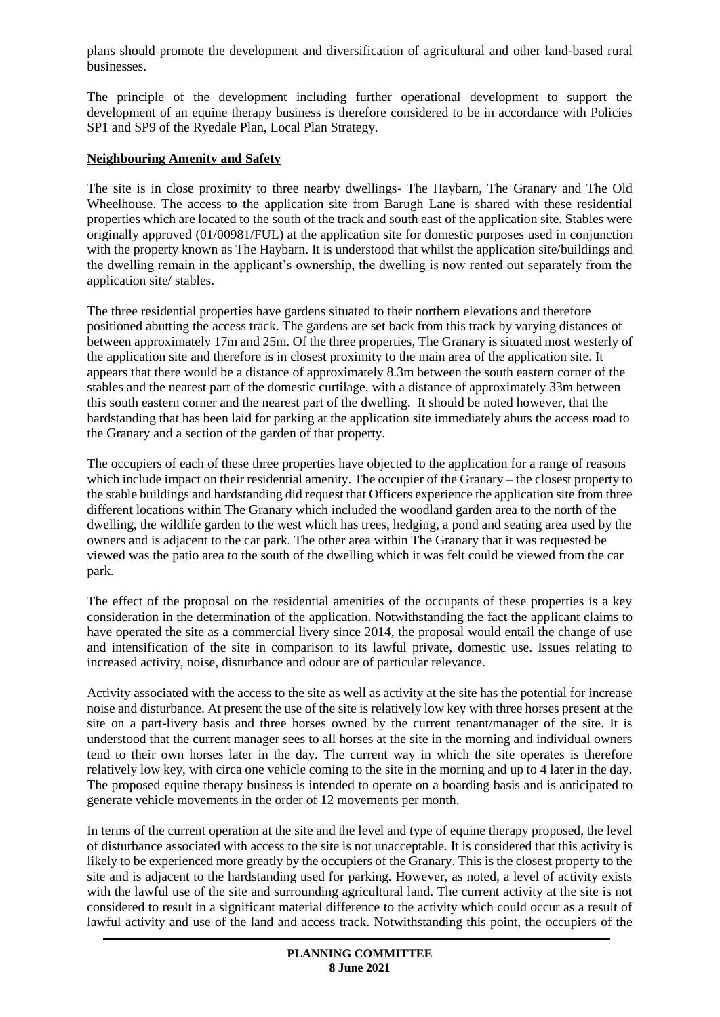plans should promote the development and diversification of agricultural and other land-based rural businesses.

The principle of the development including further operational development to support the development of an equine therapy business is therefore considered to be in accordance with Policies SP1 and SP9 of the Ryedale Plan, Local Plan Strategy.

#### **Neighbouring Amenity and Safety**

The site is in close proximity to three nearby dwellings- The Haybarn, The Granary and The Old Wheelhouse. The access to the application site from Barugh Lane is shared with these residential properties which are located to the south of the track and south east of the application site. Stables were originally approved (01/00981/FUL) at the application site for domestic purposes used in conjunction with the property known as The Haybarn. It is understood that whilst the application site/buildings and the dwelling remain in the applicant's ownership, the dwelling is now rented out separately from the application site/ stables.

The three residential properties have gardens situated to their northern elevations and therefore positioned abutting the access track. The gardens are set back from this track by varying distances of between approximately 17m and 25m. Of the three properties, The Granary is situated most westerly of the application site and therefore is in closest proximity to the main area of the application site. It appears that there would be a distance of approximately 8.3m between the south eastern corner of the stables and the nearest part of the domestic curtilage, with a distance of approximately 33m between this south eastern corner and the nearest part of the dwelling. It should be noted however, that the hardstanding that has been laid for parking at the application site immediately abuts the access road to the Granary and a section of the garden of that property.

The occupiers of each of these three properties have objected to the application for a range of reasons which include impact on their residential amenity. The occupier of the Granary – the closest property to the stable buildings and hardstanding did request that Officers experience the application site from three different locations within The Granary which included the woodland garden area to the north of the dwelling, the wildlife garden to the west which has trees, hedging, a pond and seating area used by the owners and is adjacent to the car park. The other area within The Granary that it was requested be viewed was the patio area to the south of the dwelling which it was felt could be viewed from the car park.

The effect of the proposal on the residential amenities of the occupants of these properties is a key consideration in the determination of the application. Notwithstanding the fact the applicant claims to have operated the site as a commercial livery since 2014, the proposal would entail the change of use and intensification of the site in comparison to its lawful private, domestic use. Issues relating to increased activity, noise, disturbance and odour are of particular relevance.

Activity associated with the access to the site as well as activity at the site has the potential for increase noise and disturbance. At present the use of the site is relatively low key with three horses present at the site on a part-livery basis and three horses owned by the current tenant/manager of the site. It is understood that the current manager sees to all horses at the site in the morning and individual owners tend to their own horses later in the day. The current way in which the site operates is therefore relatively low key, with circa one vehicle coming to the site in the morning and up to 4 later in the day. The proposed equine therapy business is intended to operate on a boarding basis and is anticipated to generate vehicle movements in the order of 12 movements per month.

In terms of the current operation at the site and the level and type of equine therapy proposed, the level of disturbance associated with access to the site is not unacceptable. It is considered that this activity is likely to be experienced more greatly by the occupiers of the Granary. This is the closest property to the site and is adjacent to the hardstanding used for parking. However, as noted, a level of activity exists with the lawful use of the site and surrounding agricultural land. The current activity at the site is not considered to result in a significant material difference to the activity which could occur as a result of lawful activity and use of the land and access track. Notwithstanding this point, the occupiers of the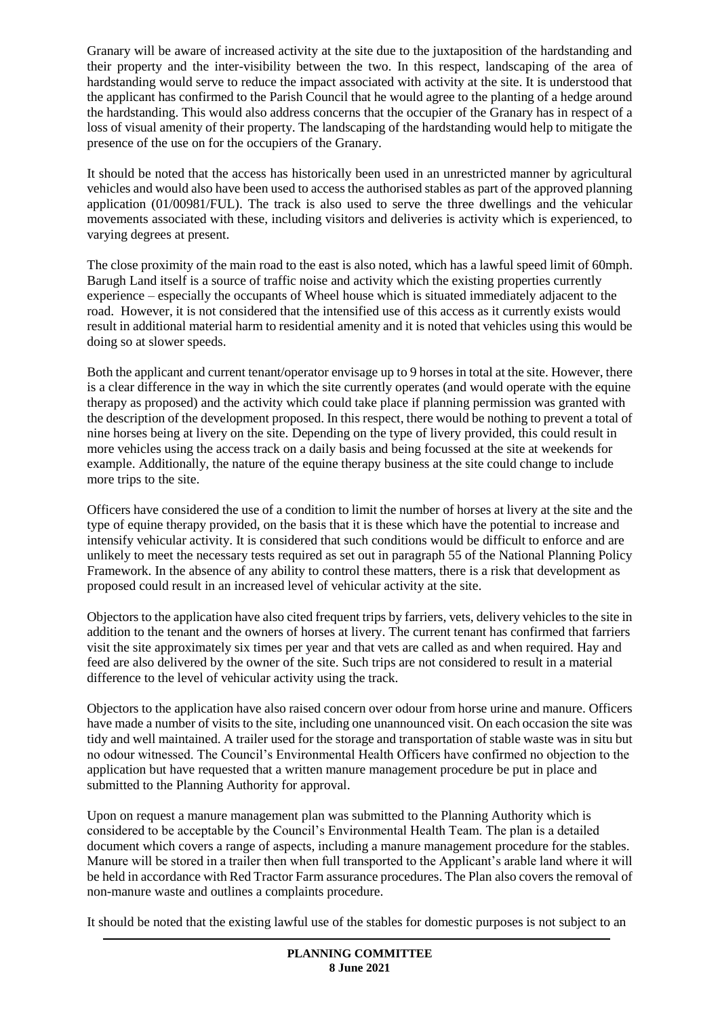Granary will be aware of increased activity at the site due to the juxtaposition of the hardstanding and their property and the inter-visibility between the two. In this respect, landscaping of the area of hardstanding would serve to reduce the impact associated with activity at the site. It is understood that the applicant has confirmed to the Parish Council that he would agree to the planting of a hedge around the hardstanding. This would also address concerns that the occupier of the Granary has in respect of a loss of visual amenity of their property. The landscaping of the hardstanding would help to mitigate the presence of the use on for the occupiers of the Granary.

It should be noted that the access has historically been used in an unrestricted manner by agricultural vehicles and would also have been used to access the authorised stables as part of the approved planning application (01/00981/FUL). The track is also used to serve the three dwellings and the vehicular movements associated with these, including visitors and deliveries is activity which is experienced, to varying degrees at present.

The close proximity of the main road to the east is also noted, which has a lawful speed limit of 60mph. Barugh Land itself is a source of traffic noise and activity which the existing properties currently experience – especially the occupants of Wheel house which is situated immediately adjacent to the road. However, it is not considered that the intensified use of this access as it currently exists would result in additional material harm to residential amenity and it is noted that vehicles using this would be doing so at slower speeds.

Both the applicant and current tenant/operator envisage up to 9 horses in total at the site. However, there is a clear difference in the way in which the site currently operates (and would operate with the equine therapy as proposed) and the activity which could take place if planning permission was granted with the description of the development proposed. In this respect, there would be nothing to prevent a total of nine horses being at livery on the site. Depending on the type of livery provided, this could result in more vehicles using the access track on a daily basis and being focussed at the site at weekends for example. Additionally, the nature of the equine therapy business at the site could change to include more trips to the site.

Officers have considered the use of a condition to limit the number of horses at livery at the site and the type of equine therapy provided, on the basis that it is these which have the potential to increase and intensify vehicular activity. It is considered that such conditions would be difficult to enforce and are unlikely to meet the necessary tests required as set out in paragraph 55 of the National Planning Policy Framework. In the absence of any ability to control these matters, there is a risk that development as proposed could result in an increased level of vehicular activity at the site.

Objectors to the application have also cited frequent trips by farriers, vets, delivery vehicles to the site in addition to the tenant and the owners of horses at livery. The current tenant has confirmed that farriers visit the site approximately six times per year and that vets are called as and when required. Hay and feed are also delivered by the owner of the site. Such trips are not considered to result in a material difference to the level of vehicular activity using the track.

Objectors to the application have also raised concern over odour from horse urine and manure. Officers have made a number of visits to the site, including one unannounced visit. On each occasion the site was tidy and well maintained. A trailer used for the storage and transportation of stable waste was in situ but no odour witnessed. The Council's Environmental Health Officers have confirmed no objection to the application but have requested that a written manure management procedure be put in place and submitted to the Planning Authority for approval.

Upon on request a manure management plan was submitted to the Planning Authority which is considered to be acceptable by the Council's Environmental Health Team. The plan is a detailed document which covers a range of aspects, including a manure management procedure for the stables. Manure will be stored in a trailer then when full transported to the Applicant's arable land where it will be held in accordance with Red Tractor Farm assurance procedures. The Plan also covers the removal of non-manure waste and outlines a complaints procedure.

It should be noted that the existing lawful use of the stables for domestic purposes is not subject to an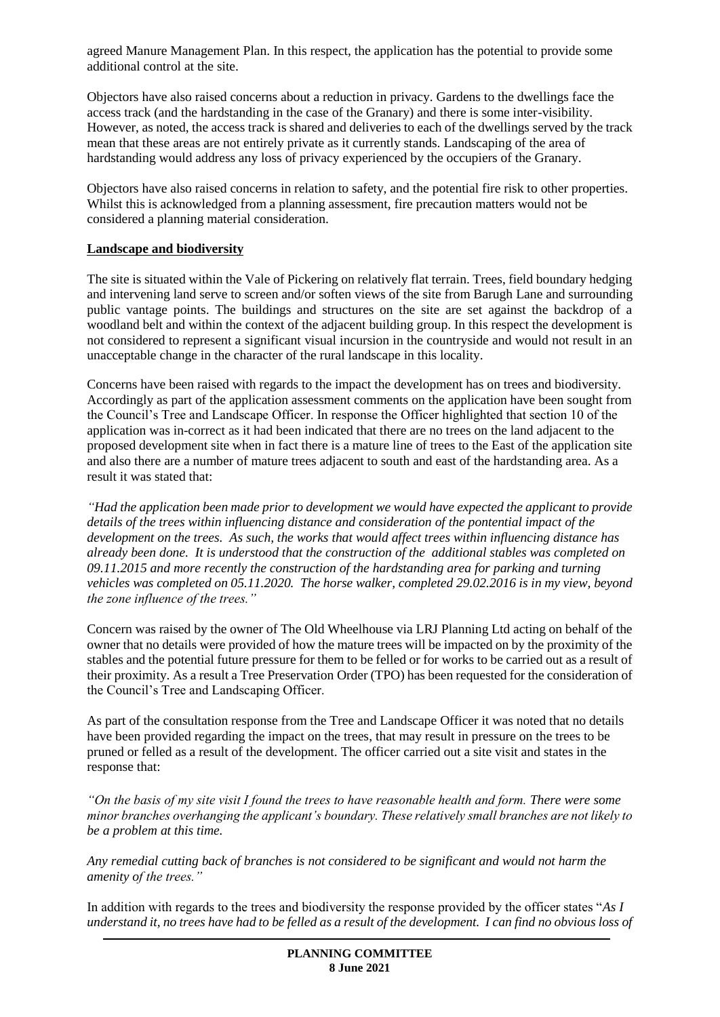agreed Manure Management Plan. In this respect, the application has the potential to provide some additional control at the site.

Objectors have also raised concerns about a reduction in privacy. Gardens to the dwellings face the access track (and the hardstanding in the case of the Granary) and there is some inter-visibility. However, as noted, the access track is shared and deliveries to each of the dwellings served by the track mean that these areas are not entirely private as it currently stands. Landscaping of the area of hardstanding would address any loss of privacy experienced by the occupiers of the Granary.

Objectors have also raised concerns in relation to safety, and the potential fire risk to other properties. Whilst this is acknowledged from a planning assessment, fire precaution matters would not be considered a planning material consideration.

#### **Landscape and biodiversity**

The site is situated within the Vale of Pickering on relatively flat terrain. Trees, field boundary hedging and intervening land serve to screen and/or soften views of the site from Barugh Lane and surrounding public vantage points. The buildings and structures on the site are set against the backdrop of a woodland belt and within the context of the adjacent building group. In this respect the development is not considered to represent a significant visual incursion in the countryside and would not result in an unacceptable change in the character of the rural landscape in this locality.

Concerns have been raised with regards to the impact the development has on trees and biodiversity. Accordingly as part of the application assessment comments on the application have been sought from the Council's Tree and Landscape Officer. In response the Officer highlighted that section 10 of the application was in-correct as it had been indicated that there are no trees on the land adjacent to the proposed development site when in fact there is a mature line of trees to the East of the application site and also there are a number of mature trees adjacent to south and east of the hardstanding area. As a result it was stated that:

*"Had the application been made prior to development we would have expected the applicant to provide details of the trees within influencing distance and consideration of the pontential impact of the development on the trees. As such, the works that would affect trees within influencing distance has already been done. It is understood that the construction of the additional stables was completed on 09.11.2015 and more recently the construction of the hardstanding area for parking and turning vehicles was completed on 05.11.2020. The horse walker, completed 29.02.2016 is in my view, beyond the zone influence of the trees."*

Concern was raised by the owner of The Old Wheelhouse via LRJ Planning Ltd acting on behalf of the owner that no details were provided of how the mature trees will be impacted on by the proximity of the stables and the potential future pressure for them to be felled or for works to be carried out as a result of their proximity. As a result a Tree Preservation Order (TPO) has been requested for the consideration of the Council's Tree and Landscaping Officer.

As part of the consultation response from the Tree and Landscape Officer it was noted that no details have been provided regarding the impact on the trees, that may result in pressure on the trees to be pruned or felled as a result of the development. The officer carried out a site visit and states in the response that:

*"On the basis of my site visit I found the trees to have reasonable health and form. There were some minor branches overhanging the applicant's boundary. These relatively small branches are not likely to be a problem at this time.* 

*Any remedial cutting back of branches is not considered to be significant and would not harm the amenity of the trees."*

In addition with regards to the trees and biodiversity the response provided by the officer states "*As I understand it, no trees have had to be felled as a result of the development. I can find no obvious loss of*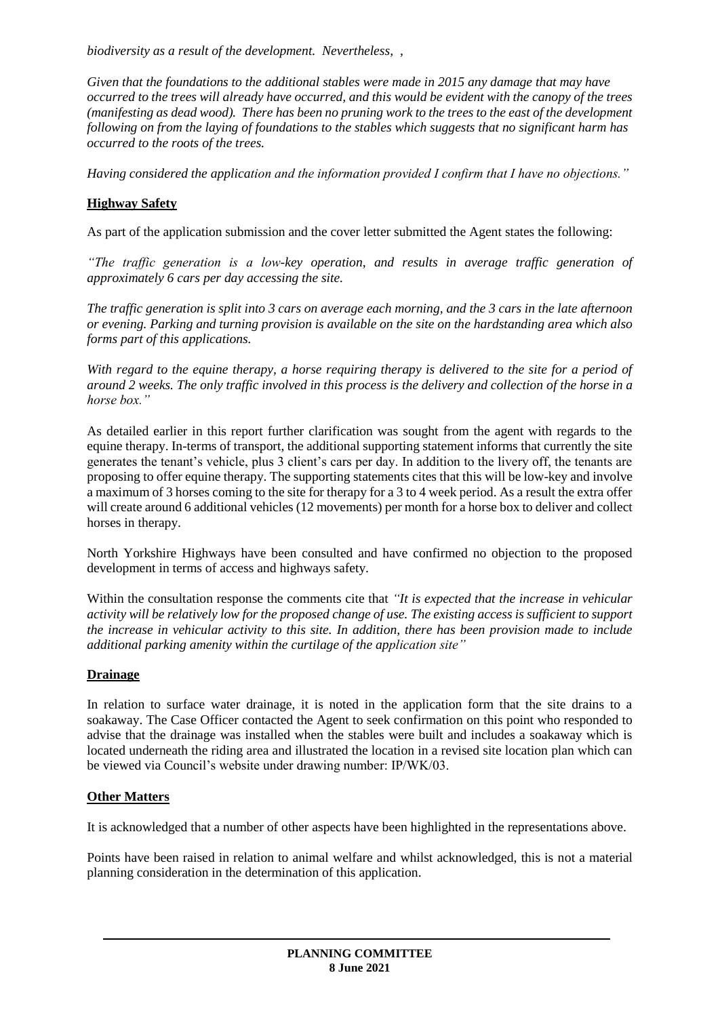*biodiversity as a result of the development. Nevertheless, ,* 

*Given that the foundations to the additional stables were made in 2015 any damage that may have occurred to the trees will already have occurred, and this would be evident with the canopy of the trees (manifesting as dead wood). There has been no pruning work to the trees to the east of the development following on from the laying of foundations to the stables which suggests that no significant harm has occurred to the roots of the trees.*

*Having considered the application and the information provided I confirm that I have no objections."*

# **Highway Safety**

As part of the application submission and the cover letter submitted the Agent states the following:

*"The traffic generation is a low-key operation, and results in average traffic generation of approximately 6 cars per day accessing the site.*

*The traffic generation is split into 3 cars on average each morning, and the 3 cars in the late afternoon or evening. Parking and turning provision is available on the site on the hardstanding area which also forms part of this applications.* 

*With regard to the equine therapy, a horse requiring therapy is delivered to the site for a period of around 2 weeks. The only traffic involved in this process is the delivery and collection of the horse in a horse box."*

As detailed earlier in this report further clarification was sought from the agent with regards to the equine therapy. In-terms of transport, the additional supporting statement informs that currently the site generates the tenant's vehicle, plus 3 client's cars per day. In addition to the livery off, the tenants are proposing to offer equine therapy. The supporting statements cites that this will be low-key and involve a maximum of 3 horses coming to the site for therapy for a 3 to 4 week period. As a result the extra offer will create around 6 additional vehicles (12 movements) per month for a horse box to deliver and collect horses in therapy.

North Yorkshire Highways have been consulted and have confirmed no objection to the proposed development in terms of access and highways safety.

Within the consultation response the comments cite that *"It is expected that the increase in vehicular activity will be relatively low for the proposed change of use. The existing access is sufficient to support the increase in vehicular activity to this site. In addition, there has been provision made to include additional parking amenity within the curtilage of the application site"*

# **Drainage**

In relation to surface water drainage, it is noted in the application form that the site drains to a soakaway. The Case Officer contacted the Agent to seek confirmation on this point who responded to advise that the drainage was installed when the stables were built and includes a soakaway which is located underneath the riding area and illustrated the location in a revised site location plan which can be viewed via Council's website under drawing number: IP/WK/03.

# **Other Matters**

It is acknowledged that a number of other aspects have been highlighted in the representations above.

Points have been raised in relation to animal welfare and whilst acknowledged, this is not a material planning consideration in the determination of this application.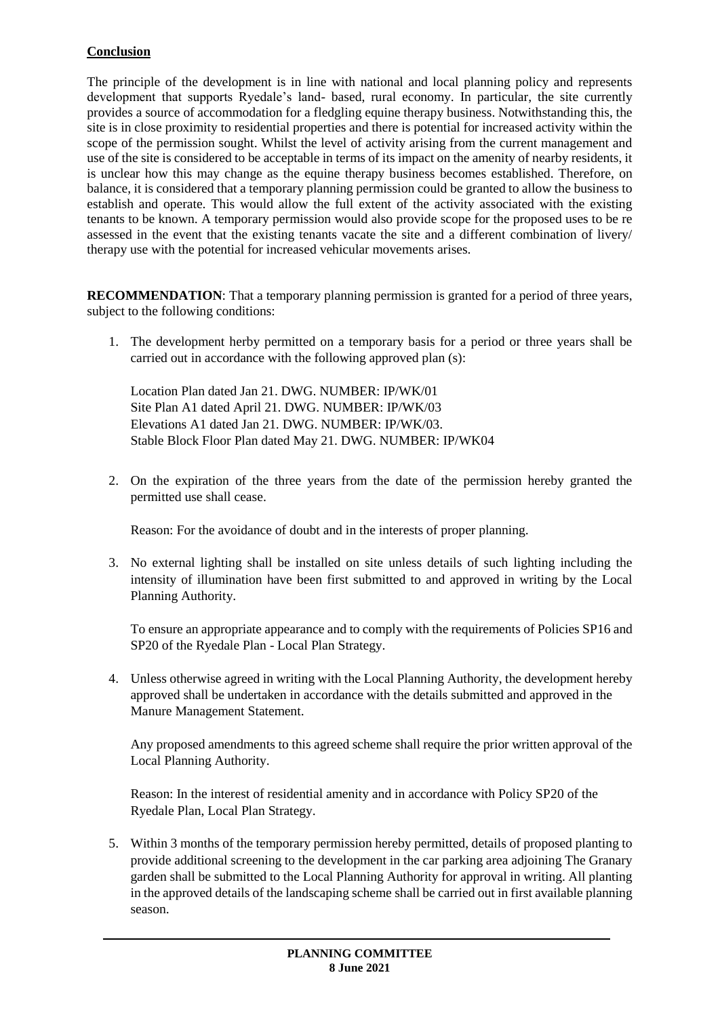# **Conclusion**

The principle of the development is in line with national and local planning policy and represents development that supports Ryedale's land- based, rural economy. In particular, the site currently provides a source of accommodation for a fledgling equine therapy business. Notwithstanding this, the site is in close proximity to residential properties and there is potential for increased activity within the scope of the permission sought. Whilst the level of activity arising from the current management and use of the site is considered to be acceptable in terms of its impact on the amenity of nearby residents, it is unclear how this may change as the equine therapy business becomes established. Therefore, on balance, it is considered that a temporary planning permission could be granted to allow the business to establish and operate. This would allow the full extent of the activity associated with the existing tenants to be known. A temporary permission would also provide scope for the proposed uses to be re assessed in the event that the existing tenants vacate the site and a different combination of livery/ therapy use with the potential for increased vehicular movements arises.

**RECOMMENDATION**: That a temporary planning permission is granted for a period of three years, subject to the following conditions:

1. The development herby permitted on a temporary basis for a period or three years shall be carried out in accordance with the following approved plan (s):

Location Plan dated Jan 21. DWG. NUMBER: IP/WK/01 Site Plan A1 dated April 21. DWG. NUMBER: IP/WK/03 Elevations A1 dated Jan 21. DWG. NUMBER: IP/WK/03. Stable Block Floor Plan dated May 21. DWG. NUMBER: IP/WK04

2. On the expiration of the three years from the date of the permission hereby granted the permitted use shall cease.

Reason: For the avoidance of doubt and in the interests of proper planning.

3. No external lighting shall be installed on site unless details of such lighting including the intensity of illumination have been first submitted to and approved in writing by the Local Planning Authority.

To ensure an appropriate appearance and to comply with the requirements of Policies SP16 and SP20 of the Ryedale Plan - Local Plan Strategy.

4. Unless otherwise agreed in writing with the Local Planning Authority, the development hereby approved shall be undertaken in accordance with the details submitted and approved in the Manure Management Statement.

Any proposed amendments to this agreed scheme shall require the prior written approval of the Local Planning Authority.

Reason: In the interest of residential amenity and in accordance with Policy SP20 of the Ryedale Plan, Local Plan Strategy.

5. Within 3 months of the temporary permission hereby permitted, details of proposed planting to provide additional screening to the development in the car parking area adjoining The Granary garden shall be submitted to the Local Planning Authority for approval in writing. All planting in the approved details of the landscaping scheme shall be carried out in first available planning season.